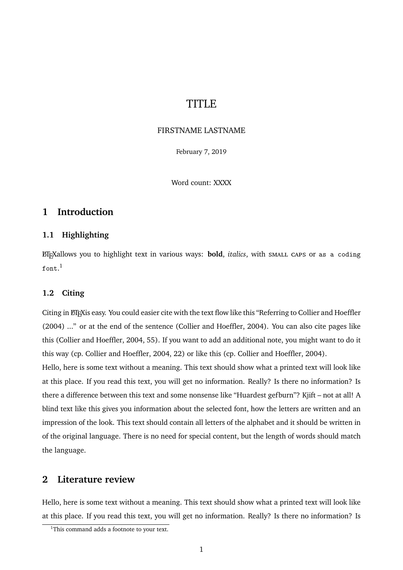# TITLE

### FIRSTNAME LASTNAME

February 7, 2019

Word count: XXXX

## **1 Introduction**

### **1.1 Highlighting**

LATEXallows you to highlight text in various ways: **bold**, *italics*, with small caps or as a coding font. $^{\rm l}$ 

#### **1.2 Citing**

Citing in LATEXis easy. You could easier cite with the text flow like this "Referring to Collier and Hoeffler (2004) ..." or at the end of the sentence (Collier and Hoeffler, 2004). You can also cite pages like this (Collier and Hoeffler, 2004, 55). If you want to add an additional note, you might want to do it this way (cp. Collier and Hoeffler, 2004, 22) or like this (cp. Collier and Hoeffler, 2004).

Hello, here is some text without a meaning. This text should show what a printed text will look like at this place. If you read this text, you will get no information. Really? Is there no information? Is there a difference between this text and some nonsense like "Huardest gefburn"? Kjift – not at all! A blind text like this gives you information about the selected font, how the letters are written and an impression of the look. This text should contain all letters of the alphabet and it should be written in of the original language. There is no need for special content, but the length of words should match the language.

## **2 Literature review**

Hello, here is some text without a meaning. This text should show what a printed text will look like at this place. If you read this text, you will get no information. Really? Is there no information? Is

<sup>&</sup>lt;sup>1</sup>This command adds a footnote to your text.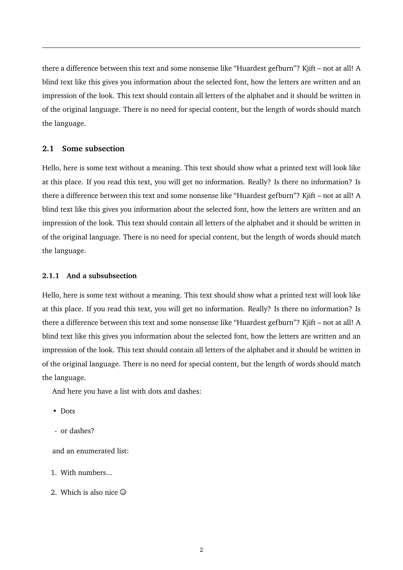there a difference between this text and some nonsense like "Huardest gefburn"? Kjift – not at all! A blind text like this gives you information about the selected font, how the letters are written and an impression of the look. This text should contain all letters of the alphabet and it should be written in of the original language. There is no need for special content, but the length of words should match the language.

### **2.1 Some subsection**

Hello, here is some text without a meaning. This text should show what a printed text will look like at this place. If you read this text, you will get no information. Really? Is there no information? Is there a difference between this text and some nonsense like "Huardest gefburn"? Kjift – not at all! A blind text like this gives you information about the selected font, how the letters are written and an impression of the look. This text should contain all letters of the alphabet and it should be written in of the original language. There is no need for special content, but the length of words should match the language.

### **2.1.1 And a subsubsection**

Hello, here is some text without a meaning. This text should show what a printed text will look like at this place. If you read this text, you will get no information. Really? Is there no information? Is there a difference between this text and some nonsense like "Huardest gefburn"? Kjift – not at all! A blind text like this gives you information about the selected font, how the letters are written and an impression of the look. This text should contain all letters of the alphabet and it should be written in of the original language. There is no need for special content, but the length of words should match the language.

And here you have a list with dots and dashes:

- Dots
- or dashes?

and an enumerated list:

- 1. With numbers...
- 2. Which is also nice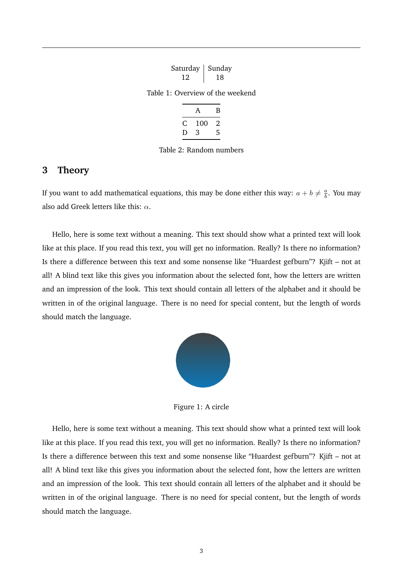| Saturday | Sunday |  |
|----------|--------|--|
|          | 18     |  |

Table 1: Overview of the weekend

|   | A     | B              |
|---|-------|----------------|
|   | C 100 | $\overline{2}$ |
| Ð | -3    | 5              |

Table 2: Random numbers

## **3 Theory**

If you want to add mathematical equations, this may be done either this way:  $a + b \neq \frac{a}{b}$  $\frac{a}{b}$ . You may also add Greek letters like this:  $\alpha$ .

Hello, here is some text without a meaning. This text should show what a printed text will look like at this place. If you read this text, you will get no information. Really? Is there no information? Is there a difference between this text and some nonsense like "Huardest gefburn"? Kjift – not at all! A blind text like this gives you information about the selected font, how the letters are written and an impression of the look. This text should contain all letters of the alphabet and it should be written in of the original language. There is no need for special content, but the length of words should match the language.



Figure 1: A circle

Hello, here is some text without a meaning. This text should show what a printed text will look like at this place. If you read this text, you will get no information. Really? Is there no information? Is there a difference between this text and some nonsense like "Huardest gefburn"? Kjift – not at all! A blind text like this gives you information about the selected font, how the letters are written and an impression of the look. This text should contain all letters of the alphabet and it should be written in of the original language. There is no need for special content, but the length of words should match the language.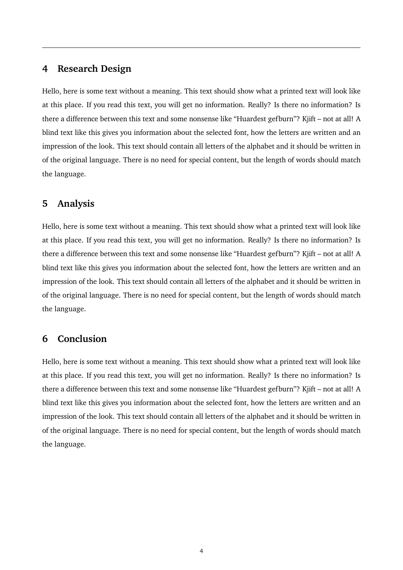# **4 Research Design**

Hello, here is some text without a meaning. This text should show what a printed text will look like at this place. If you read this text, you will get no information. Really? Is there no information? Is there a difference between this text and some nonsense like "Huardest gefburn"? Kjift – not at all! A blind text like this gives you information about the selected font, how the letters are written and an impression of the look. This text should contain all letters of the alphabet and it should be written in of the original language. There is no need for special content, but the length of words should match the language.

## **5 Analysis**

Hello, here is some text without a meaning. This text should show what a printed text will look like at this place. If you read this text, you will get no information. Really? Is there no information? Is there a difference between this text and some nonsense like "Huardest gefburn"? Kjift – not at all! A blind text like this gives you information about the selected font, how the letters are written and an impression of the look. This text should contain all letters of the alphabet and it should be written in of the original language. There is no need for special content, but the length of words should match the language.

# **6 Conclusion**

Hello, here is some text without a meaning. This text should show what a printed text will look like at this place. If you read this text, you will get no information. Really? Is there no information? Is there a difference between this text and some nonsense like "Huardest gefburn"? Kjift – not at all! A blind text like this gives you information about the selected font, how the letters are written and an impression of the look. This text should contain all letters of the alphabet and it should be written in of the original language. There is no need for special content, but the length of words should match the language.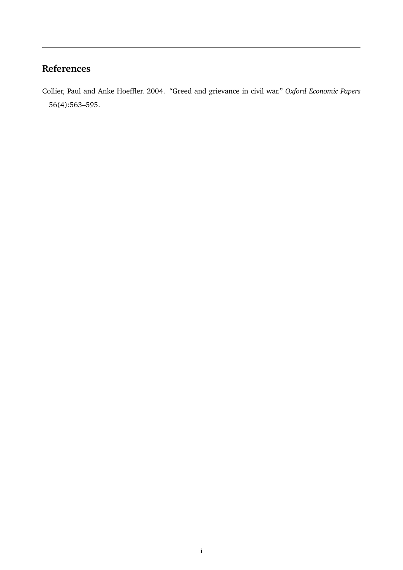# **References**

Collier, Paul and Anke Hoeffler. 2004. "Greed and grievance in civil war." *Oxford Economic Papers* 56(4):563–595.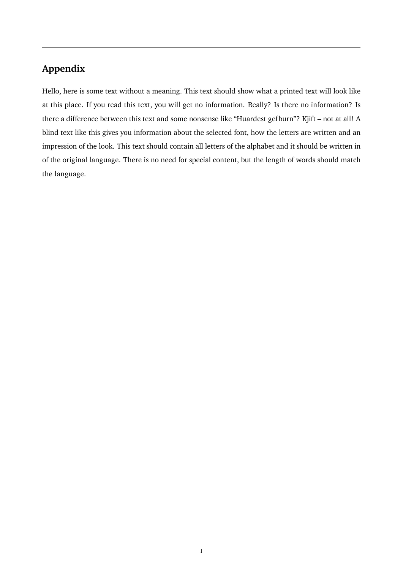# **Appendix**

Hello, here is some text without a meaning. This text should show what a printed text will look like at this place. If you read this text, you will get no information. Really? Is there no information? Is there a difference between this text and some nonsense like "Huardest gefburn"? Kjift – not at all! A blind text like this gives you information about the selected font, how the letters are written and an impression of the look. This text should contain all letters of the alphabet and it should be written in of the original language. There is no need for special content, but the length of words should match the language.